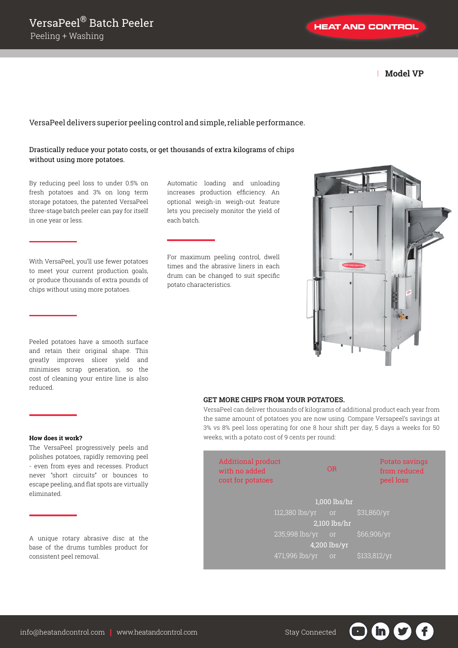| **Model VP**

# VersaPeel delivers superior peeling control and simple, reliable performance.

Drastically reduce your potato costs, or get thousands of extra kilograms of chips without using more potatoes.

By reducing peel loss to under 0.5% on fresh potatoes and 3% on long term storage potatoes, the patented VersaPeel three-stage batch peeler can pay for itself in one year or less.

lets you precisely monitor the yield of each batch.

With VersaPeel, you'll use fewer potatoes to meet your current production goals, or produce thousands of extra pounds of chips without using more potatoes.

For maximum peeling control, dwell times and the abrasive liners in each drum can be changed to suit specific potato characteristics.

Automatic loading and unloading increases production efficiency. An optional weigh-in weigh-out feature



Peeled potatoes have a smooth surface and retain their original shape. This greatly improves slicer yield and minimises scrap generation, so the cost of cleaning your entire line is also reduced.

### **How does it work?**

The VersaPeel progressively peels and polishes potatoes, rapidly removing peel - even from eyes and recesses. Product never "short circuits" or bounces to escape peeling, and flat spots are virtually eliminated.

A unique rotary abrasive disc at the base of the drums tumbles product for consistent peel removal.

# **GET MORE CHIPS FROM YOUR POTATOES.**

VersaPeel can deliver thousands of kilograms of additional product each year from the same amount of potatoes you are now using. Compare Versapeel's savings at 3% vs 8% peel loss operating for one 8 hour shift per day, 5 days a weeks for 50 weeks, with a potato cost of 9 cents per round:

| <b>Additional product</b><br>with no added<br>cost for potatoes |                | O <sub>R</sub> | Potato savings<br>from reduced<br>peel loss |  |  |
|-----------------------------------------------------------------|----------------|----------------|---------------------------------------------|--|--|
| $1,000$ lbs/hr                                                  |                |                |                                             |  |  |
|                                                                 | 112,380 lbs/yr | <b>or</b>      | \$31,860/yr                                 |  |  |
| $2,100$ lbs/hr                                                  |                |                |                                             |  |  |
|                                                                 | 235,998 lbs/yr | <b>or</b>      | \$66,906/yr                                 |  |  |
| 4,200 lbs/yr                                                    |                |                |                                             |  |  |
|                                                                 | 471,996 lbs/yr | <b>or</b>      | \$133,812/yr                                |  |  |

 $\mathbf{f}$ 

in )

I ST